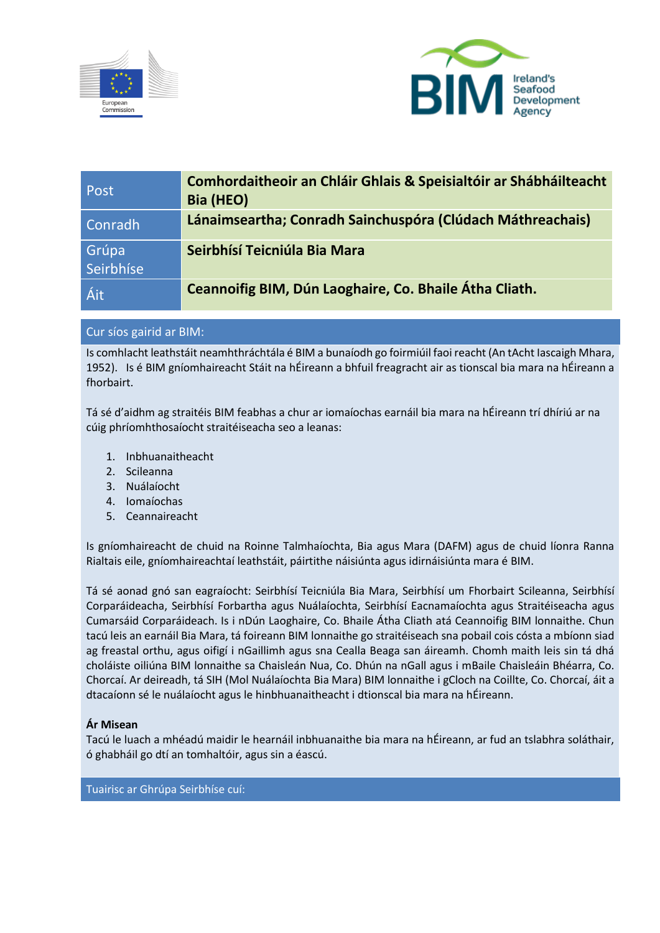



| Post               | <b>Comhordaitheoir an Chláir Ghlais &amp; Speisialtóir ar Shábháilteacht</b><br>Bia (HEO) |
|--------------------|-------------------------------------------------------------------------------------------|
| Conradh            | Lánaimseartha; Conradh Sainchuspóra (Clúdach Máthreachais)                                |
| Grúpa<br>Seirbhíse | Seirbhísí Teicniúla Bia Mara                                                              |
| Áit                | Ceannoifig BIM, Dún Laoghaire, Co. Bhaile Átha Cliath.                                    |

# Cur síos gairid ar BIM:

Is comhlacht leathstáit neamhthráchtála é BIM a bunaíodh go foirmiúil faoi reacht (An tAcht Iascaigh Mhara, 1952). Is é BIM gníomhaireacht Stáit na hÉireann a bhfuil freagracht air as tionscal bia mara na hÉireann a fhorbairt.

Tá sé d'aidhm ag straitéis BIM feabhas a chur ar iomaíochas earnáil bia mara na hÉireann trí dhíriú ar na cúig phríomhthosaíocht straitéiseacha seo a leanas:

- 1. Inbhuanaitheacht
- 2. Scileanna
- 3. Nuálaíocht
- 4. Iomaíochas
- 5. Ceannaireacht

Is gníomhaireacht de chuid na Roinne Talmhaíochta, Bia agus Mara (DAFM) agus de chuid líonra Ranna Rialtais eile, gníomhaireachtaí leathstáit, páirtithe náisiúnta agus idirnáisiúnta mara é BIM.

Tá sé aonad gnó san eagraíocht: Seirbhísí Teicniúla Bia Mara, Seirbhísí um Fhorbairt Scileanna, Seirbhísí Corparáideacha, Seirbhísí Forbartha agus Nuálaíochta, Seirbhísí Eacnamaíochta agus Straitéiseacha agus Cumarsáid Corparáideach. Is i nDún Laoghaire, Co. Bhaile Átha Cliath atá Ceannoifig BIM lonnaithe. Chun tacú leis an earnáil Bia Mara, tá foireann BIM lonnaithe go straitéiseach sna pobail cois cósta a mbíonn siad ag freastal orthu, agus oifigí i nGaillimh agus sna Cealla Beaga san áireamh. Chomh maith leis sin tá dhá choláiste oiliúna BIM lonnaithe sa Chaisleán Nua, Co. Dhún na nGall agus i mBaile Chaisleáin Bhéarra, Co. Chorcaí. Ar deireadh, tá SIH (Mol Nuálaíochta Bia Mara) BIM lonnaithe i gCloch na Coillte, Co. Chorcaí, áit a dtacaíonn sé le nuálaíocht agus le hinbhuanaitheacht i dtionscal bia mara na hÉireann.

#### **Ár Misean**

Tacú le luach a mhéadú maidir le hearnáil inbhuanaithe bia mara na hÉireann, ar fud an tslabhra soláthair, ó ghabháil go dtí an tomhaltóir, agus sin a éascú.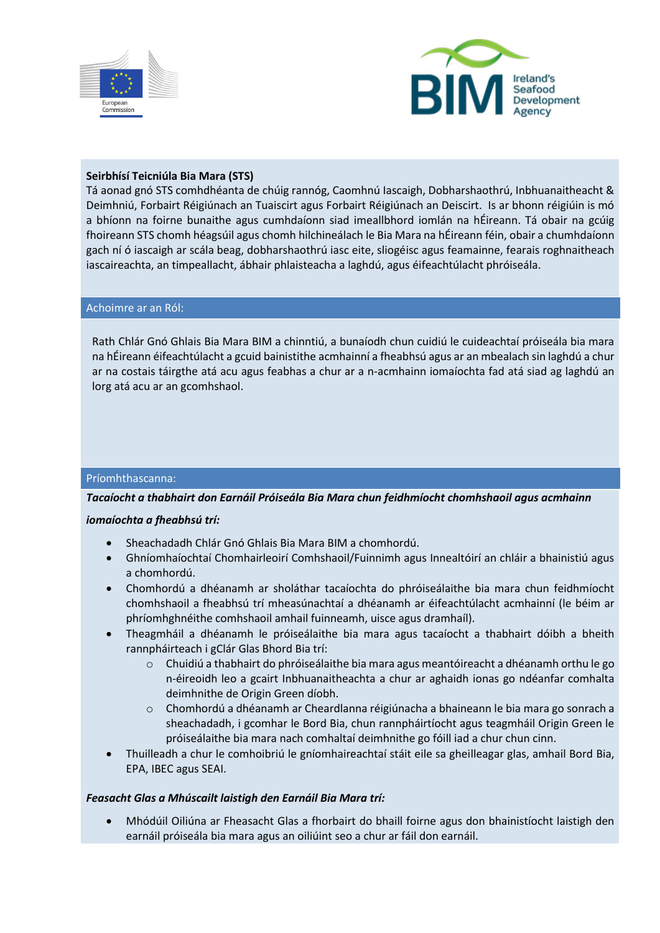



#### **Seirbhísí Teicniúla Bia Mara (STS)**

Tá aonad gnó STS comhdhéanta de chúig rannóg, Caomhnú Iascaigh, Dobharshaothrú, Inbhuanaitheacht & Deimhniú, Forbairt Réigiúnach an Tuaiscirt agus Forbairt Réigiúnach an Deiscirt. Is ar bhonn réigiúin is mó a bhíonn na foirne bunaithe agus cumhdaíonn siad imeallbhord iomlán na hÉireann. Tá obair na gcúig fhoireann STS chomh héagsúil agus chomh hilchineálach le Bia Mara na hÉireann féin, obair a chumhdaíonn gach ní ó iascaigh ar scála beag, dobharshaothrú iasc eite, sliogéisc agus feamainne, fearais roghnaitheach iascaireachta, an timpeallacht, ábhair phlaisteacha a laghdú, agus éifeachtúlacht phróiseála.

#### Achoimre ar an Ról:

Rath Chlár Gnó Ghlais Bia Mara BIM a chinntiú, a bunaíodh chun cuidiú le cuideachtaí próiseála bia mara na hÉireann éifeachtúlacht a gcuid bainistithe acmhainní a fheabhsú agus ar an mbealach sin laghdú a chur ar na costais táirgthe atá acu agus feabhas a chur ar a n-acmhainn iomaíochta fad atá siad ag laghdú an lorg atá acu ar an gcomhshaol.

#### Príomhthascanna:

#### *Tacaíocht a thabhairt don Earnáil Próiseála Bia Mara chun feidhmíocht chomhshaoil agus acmhainn*

#### *iomaíochta a fheabhsú trí:*

- Sheachadadh Chlár Gnó Ghlais Bia Mara BIM a chomhordú.
- Ghníomhaíochtaí Chomhairleoirí Comhshaoil/Fuinnimh agus Innealtóirí an chláir a bhainistiú agus a chomhordú.
- Chomhordú a dhéanamh ar sholáthar tacaíochta do phróiseálaithe bia mara chun feidhmíocht chomhshaoil a fheabhsú trí mheasúnachtaí a dhéanamh ar éifeachtúlacht acmhainní (le béim ar phríomhghnéithe comhshaoil amhail fuinneamh, uisce agus dramhaíl).
- Theagmháil a dhéanamh le próiseálaithe bia mara agus tacaíocht a thabhairt dóibh a bheith rannpháirteach i gClár Glas Bhord Bia trí:
	- o Chuidiú a thabhairt do phróiseálaithe bia mara agus meantóireacht a dhéanamh orthu le go n-éireoidh leo a gcairt Inbhuanaitheachta a chur ar aghaidh ionas go ndéanfar comhalta deimhnithe de Origin Green díobh.
	- o Chomhordú a dhéanamh ar Cheardlanna réigiúnacha a bhaineann le bia mara go sonrach a sheachadadh, i gcomhar le Bord Bia, chun rannpháirtíocht agus teagmháil Origin Green le próiseálaithe bia mara nach comhaltaí deimhnithe go fóill iad a chur chun cinn.
- Thuilleadh a chur le comhoibriú le gníomhaireachtaí stáit eile sa gheilleagar glas, amhail Bord Bia, EPA, IBEC agus SEAI.

#### *Feasacht Glas a Mhúscailt laistigh den Earnáil Bia Mara trí:*

• Mhódúil Oiliúna ar Fheasacht Glas a fhorbairt do bhaill foirne agus don bhainistíocht laistigh den earnáil próiseála bia mara agus an oiliúint seo a chur ar fáil don earnáil.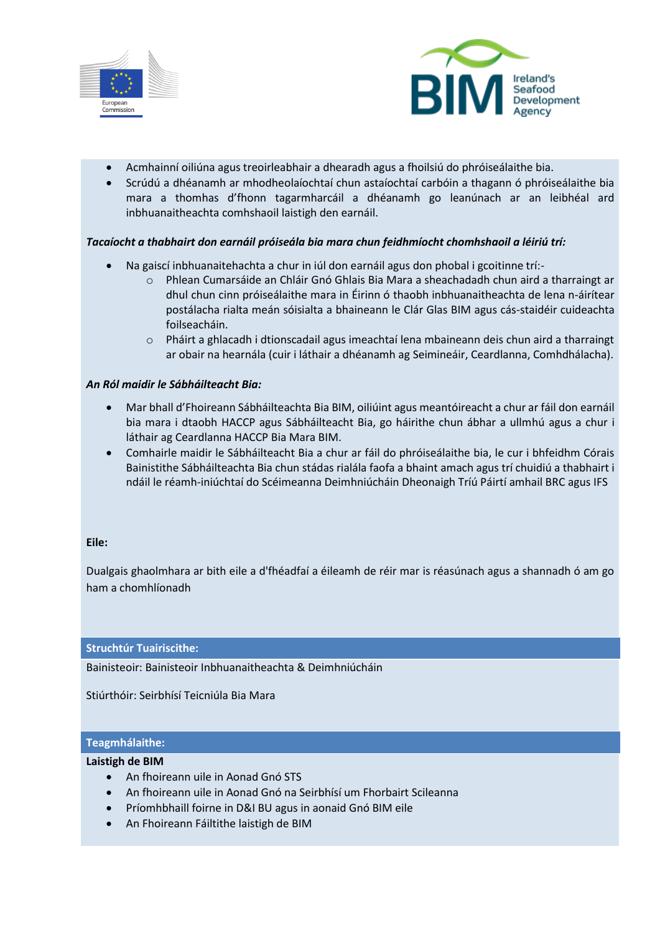



- Acmhainní oiliúna agus treoirleabhair a dhearadh agus a fhoilsiú do phróiseálaithe bia.
- Scrúdú a dhéanamh ar mhodheolaíochtaí chun astaíochtaí carbóin a thagann ó phróiseálaithe bia mara a thomhas d'fhonn tagarmharcáil a dhéanamh go leanúnach ar an leibhéal ard inbhuanaitheachta comhshaoil laistigh den earnáil.

#### *Tacaíocht a thabhairt don earnáil próiseála bia mara chun feidhmíocht chomhshaoil a léiriú trí:*

- Na gaiscí inbhuanaitehachta a chur in iúl don earnáil agus don phobal i gcoitinne trí:
	- o Phlean Cumarsáide an Chláir Gnó Ghlais Bia Mara a sheachadadh chun aird a tharraingt ar dhul chun cinn próiseálaithe mara in Éirinn ó thaobh inbhuanaitheachta de lena n-áirítear postálacha rialta meán sóisialta a bhaineann le Clár Glas BIM agus cás-staidéir cuideachta foilseacháin.
	- o Pháirt a ghlacadh i dtionscadail agus imeachtaí lena mbaineann deis chun aird a tharraingt ar obair na hearnála (cuir i láthair a dhéanamh ag Seimineáir, Ceardlanna, Comhdhálacha).

#### *An Ról maidir le Sábháilteacht Bia:*

- Mar bhall d'Fhoireann Sábháilteachta Bia BIM, oiliúint agus meantóireacht a chur ar fáil don earnáil bia mara i dtaobh HACCP agus Sábháilteacht Bia, go háirithe chun ábhar a ullmhú agus a chur i láthair ag Ceardlanna HACCP Bia Mara BIM.
- Comhairle maidir le Sábháilteacht Bia a chur ar fáil do phróiseálaithe bia, le cur i bhfeidhm Córais Bainistithe Sábháilteachta Bia chun stádas rialála faofa a bhaint amach agus trí chuidiú a thabhairt i ndáil le réamh-iniúchtaí do Scéimeanna Deimhniúcháin Dheonaigh Tríú Páirtí amhail BRC agus IFS

#### **Eile:**

Dualgais ghaolmhara ar bith eile a d'fhéadfaí a éileamh de réir mar is réasúnach agus a shannadh ó am go ham a chomhlíonadh

#### **Struchtúr Tuairiscithe:**

Bainisteoir: Bainisteoir Inbhuanaitheachta & Deimhniúcháin

Stiúrthóir: Seirbhísí Teicniúla Bia Mara

### **Teagmhálaithe:**

#### **Laistigh de BIM**

- An fhoireann uile in Aonad Gnó STS
- An fhoireann uile in Aonad Gnó na Seirbhísí um Fhorbairt Scileanna
- Príomhbhaill foirne in D&I BU agus in aonaid Gnó BIM eile
- An Fhoireann Fáiltithe laistigh de BIM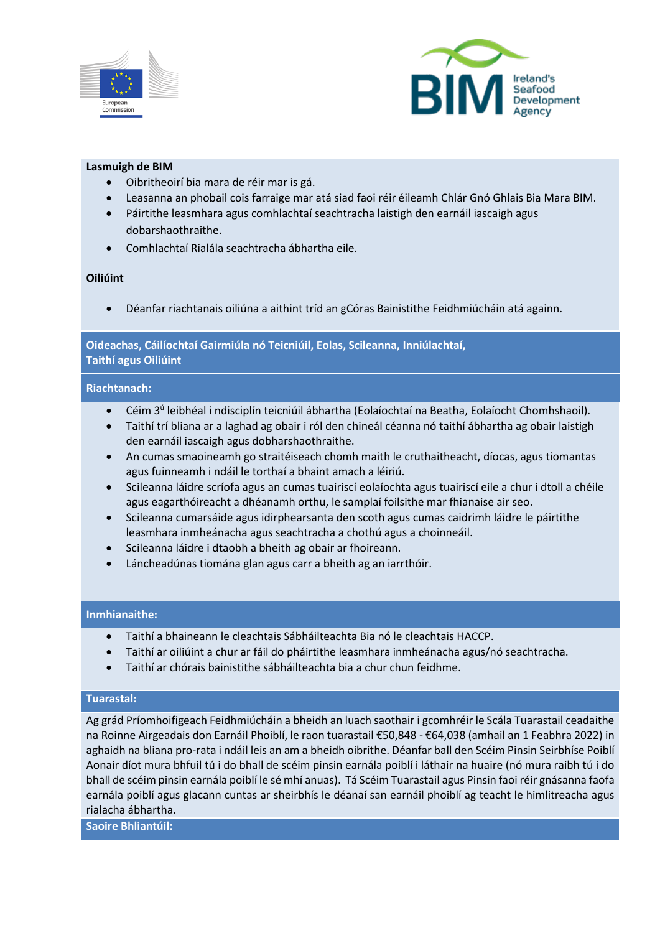



#### **Lasmuigh de BIM**

- Oibritheoirí bia mara de réir mar is gá.
- Leasanna an phobail cois farraige mar atá siad faoi réir éileamh Chlár Gnó Ghlais Bia Mara BIM.
- Páirtithe leasmhara agus comhlachtaí seachtracha laistigh den earnáil iascaigh agus dobarshaothraithe.
- Comhlachtaí Rialála seachtracha ábhartha eile.

## **Oiliúint**

• Déanfar riachtanais oiliúna a aithint tríd an gCóras Bainistithe Feidhmiúcháin atá againn.

### **Oideachas, Cáilíochtaí Gairmiúla nó Teicniúil, Eolas, Scileanna, Inniúlachtaí, Taithí agus Oiliúint**

#### **Riachtanach:**

- **•** Céim 3<sup>ú</sup> leibhéal i ndisciplín teicniúil ábhartha (Eolaíochtaí na Beatha, Eolaíocht Chomhshaoil).
- Taithí trí bliana ar a laghad ag obair i ról den chineál céanna nó taithí ábhartha ag obair laistigh den earnáil iascaigh agus dobharshaothraithe.
- An cumas smaoineamh go straitéiseach chomh maith le cruthaitheacht, díocas, agus tiomantas agus fuinneamh i ndáil le torthaí a bhaint amach a léiriú.
- Scileanna láidre scríofa agus an cumas tuairiscí eolaíochta agus tuairiscí eile a chur i dtoll a chéile agus eagarthóireacht a dhéanamh orthu, le samplaí foilsithe mar fhianaise air seo.
- Scileanna cumarsáide agus idirphearsanta den scoth agus cumas caidrimh láidre le páirtithe leasmhara inmheánacha agus seachtracha a chothú agus a choinneáil.
- Scileanna láidre i dtaobh a bheith ag obair ar fhoireann.
- Láncheadúnas tiomána glan agus carr a bheith ag an iarrthóir.

#### **Inmhianaithe:**

- Taithí a bhaineann le cleachtais Sábháilteachta Bia nó le cleachtais HACCP.
- Taithí ar oiliúint a chur ar fáil do pháirtithe leasmhara inmheánacha agus/nó seachtracha.
- Taithí ar chórais bainistithe sábháilteachta bia a chur chun feidhme.

#### **Tuarastal:**

Ag grád Príomhoifigeach Feidhmiúcháin a bheidh an luach saothair i gcomhréir le Scála Tuarastail ceadaithe na Roinne Airgeadais don Earnáil Phoiblí, le raon tuarastail €50,848 - €64,038 (amhail an 1 Feabhra 2022) in aghaidh na bliana pro-rata i ndáil leis an am a bheidh oibrithe. Déanfar ball den Scéim Pinsin Seirbhíse Poiblí Aonair díot mura bhfuil tú i do bhall de scéim pinsin earnála poiblí i láthair na huaire (nó mura raibh tú i do bhall de scéim pinsin earnála poiblí le sé mhí anuas). Tá Scéim Tuarastail agus Pinsin faoi réir gnásanna faofa earnála poiblí agus glacann cuntas ar sheirbhís le déanaí san earnáil phoiblí ag teacht le himlitreacha agus rialacha ábhartha.

**Saoire Bhliantúil:**